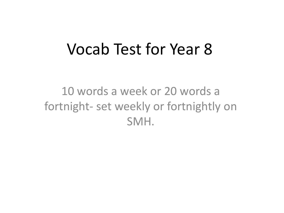#### Vocab Test for Year 8

10 words a week or 20 words a fortnight- set weekly or fortnightly on SMH.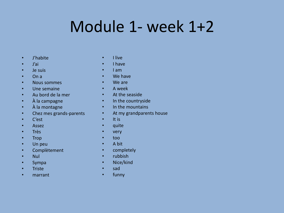### Module 1- week 1+2

- J'habite
- J'ai
- Je suis
- On a
- Nous sommes
- Une semaine
- Au bord de la mer
- À la campagne
- À la montagne
- Chez mes grands-parents
- C'est
- Assez
- Très
- Trop
- Un peu
- Complètement
- Nul
- Sympa
- Triste
- marrant
- I live
- I have
- I am
- We have
- We are
- A week
- At the seaside
- In the countryside
- In the mountains
- At my grandparents house
- It is
- quite
- very
- too
- A bit
- completely
- rubbish
- Nice/kind
- sad
- funny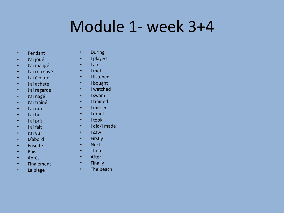# Module 1- week 3+4

- Pendant
- J'ai joué
- J'ai mangé
- J'ai retrouvé
- J'ai écouté
- J'ai acheté
- J'ai regardé
- J'ai nagé
- J'ai traîné
- J'ai raté
- J'ai bu
- J'ai pris
- J'ai fait
- J'ai vu
- D'abord
- Ensuite
- Puis
- Après
- Finalement
- La plage
- During
- I played
- I ate
- I met
- I listened
- I bought
- I watched
- I swam
- I trained
- I missed
- I drank
- I took
- I did/I made
- I saw
- Firstly
- Next
- Then
- After
- Finally
- The beach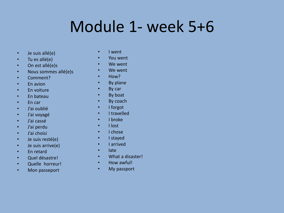#### Module 1- week 5+6

- Je suis allé(e)
- Tu es allé(e)
- On est allé(e)s
- Nous sommes allé(e)s
- Comment?
- En avion
- En voiture
- En bateau
- En car
- J'ai oublié
- J'ai voyagé
- J'ai cassé
- J'ai perdu
- J'ai choisi
- Je suis resté(e)
- Je suis arrive(e)
- En retard
- Quel désastre!
- Quelle horreur!
- Mon passeport
- I went
- You went
- We went
- We went
- How?
- By plane
- By car
- By boat
- By coach
- I forgot
- I travelled
- I broke
- I lost
- I chose
- I stayed
- I arrived
- late
- What a disaster!
- How awful!
- My passport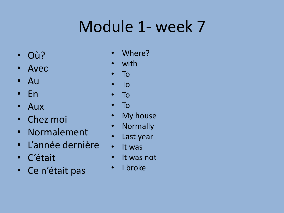# Module 1- week 7

- Où?
- Avec
- Au
- En
- Aux
- Chez moi
- Normalement
- L'année dernière
- C'était
- Ce n'était pas
- Where?
- with
- To
- To
- To
- To
- My house
- Normally
- Last year
- It was
- It was not
- I broke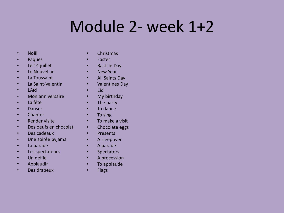# Module 2- week 1+2

- Noël
- Paques
- Le 14 juillet
- Le Nouvel an
- La Toussaint
- La Saint-Valentin
- L'Aïd
- Mon anniversaire
- La fête
- Danser
- Chanter
- Render visite
- Des oeufs en chocolat
- Des cadeaux
- Une soirée pyjama
- La parade
- Les spectateurs
- Un defile
- Applaudir
- Des drapeux
- Christmas
- Easter
- Bastille Day
- New Year
- All Saints Day
- Valentines Day
- Eid
- My birthday
- The party
- To dance
- To sing
- To make a visit
- Chocolate eggs
- Presents
- A sleepover
- A parade
- Spectators
- A procession
- To applaude
- Flags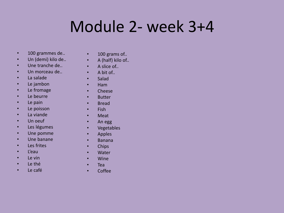# Module 2- week 3+4

- 100 grammes de..
- Un (demi) kilo de..
- Une tranche de..
- Un morceau de..
- La salade
- Le jambon
- Le fromage
- Le beurre
- Le pain
- Le poisson
- La viande
- Un oeuf
- Les légumes
- Une pomme
- Une banane
- Les frites
- L'eau
- Le vin
- Le thé
- Le café
- 100 grams of..
- A (half) kilo of..
- A slice of...
- A bit of..
- Salad
- Ham
- Cheese
- Butter
- Bread
- Fish
- Meat
- An egg
- Vegetables
- Apples
- Banana
- Chips
- Water
- Wine
- Tea
- Coffee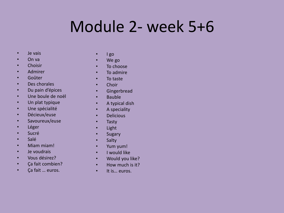### Module 2- week 5+6

- Je vais
- On va
- Choisir
- Admirer
- Goûter
- Des chorales
- Du pain d'épices
- Une boule de noël
- Un plat typique
- Une spécialité
- Décieux/euse
- Savoureux/euse
- Léger
- Sucré
- Salé
- Miam miam!
- Je voudrais
- Vous désirez?
- Ça fait combien?
- Ça fait … euros.
- $\cdot$  I go
- We go
- To choose
- To admire
- To taste
- Choir
- Gingerbread
- Bauble
- A typical dish
- A speciality
- Delicious
- Tasty
- Light
- Sugary
- Salty
- Yum yum!
- I would like
- Would you like?
- How much is it?
- It is… euros.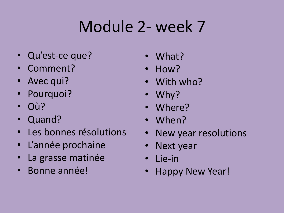# Module 2- week 7

- Qu'est-ce que?
- Comment?
- Avec qui?
- Pourquoi?
- Où?
- Quand?
- Les bonnes résolutions
- L'année prochaine
- La grasse matinée
- Bonne année!
- What?
- How?
- With who?
- Why?
- Where?
- When?
- New year resolutions
- Next year
- Lie-in
- Happy New Year!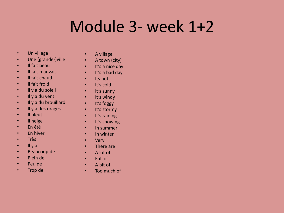### Module 3- week 1+2

- Un village
- Une (grande-)ville
- Il fait beau
- Il fait mauvais
- Il fait chaud
- Il fait froid
- Il y a du soleil
- Il y a du vent
- Il y a du brouillard
- Il y a des orages
- Il pleut
- Il neige
- En été
- En hiver
- Très
- Il y a
- Beaucoup de
- Plein de
- Peu de
- Trop de
- A village
- A town (city)
- It's a nice day
- It's a bad day
- Its hot
- It's cold
- It's sunny
- It's windy
- It's foggy
- It's stormy
- It's raining
- It's snowing
- In summer
- In winter
- Very
- There are
- A lot of
- Full of
- A bit of
- Too much of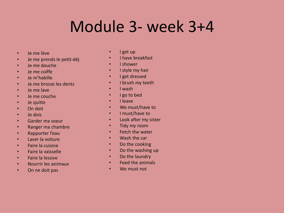#### Module 3- week 3+4

- Je me lève
- Je me prends le petit-déj
- Je me douche
- Je me coiffe
- Je m'habille
- Je me brosse les dents
- Je me lave
- Je me couche
- Je quitte
- On doit
- Je dois
- Garder ma soeur
- Ranger ma chambre
- Rapporter l'eau
- Laver la voiture
- Faire la cuisine
- Faire la vaisselle
- Faire la lessive
- Nourrir les animaux
- On ne doit pas
- I get up
- I have breakfast
- I shower
- I style my hair
- I get dressed
- I brush my teeth
- I wash
- I go to bed
- I leave
- We must/have to
- I must/have to
- Look after my sister
- Tidy my room
- Fetch the water
- Wash the car
- Do the cooking
- Do the washing up
- Do the laundry
- Feed the animals
- We must not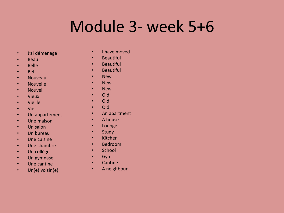## Module 3- week 5+6

- J'ai déménagé
- Beau
- Belle
- Bel
- Nouveau
- Nouvelle
- Nouvel
- Vieux
- Vieille
- Vieil
- Un appartement
- Une maison
- Un salon
- Un bureau
- Une cuisine
- Une chambre
- Un collège
- Un gymnase
- Une cantine
- Un(e) voisin(e)
- I have moved
- Beautiful
- Beautiful
- Beautiful
- New
- New
- New
- Old
- Old
- Old
- An apartment
- A house
- Lounge
- Study
- Kitchen
- Bedroom
- School
- Gym
- Cantine
- A neighbour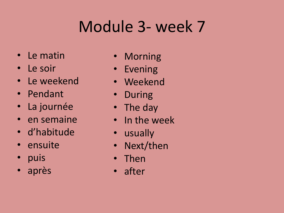# Module 3- week 7

- Le matin
- Le soir
- Le weekend
- Pendant
- La journée
- en semaine
- d'habitude
- ensuite
- puis
- après
- **Morning**
- Evening
- Weekend
- During
- The day
- In the week
- usually
- Next/then
- Then
- after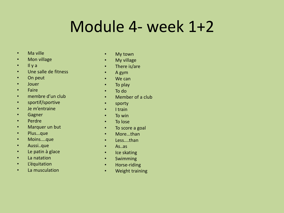#### Module 4- week 1+2

- Ma ville
- Mon village
- Il y a
- Une salle de fitness
- On peut
- Jouer
- Faire
- membre d'un club
- sportif/sportive
- Je m'entraine
- Gagner
- Perdre
- Marquer un but
- Plus...que
- Moins....que
- Aussi..que
- Le patin à glace
- La natation
- L'équitation
- La musculation
- My town
- My village
- There is/are
- A gym
- We can
- To play
- To do
- Member of a club
- sporty
- I train
- To win
- To lose
- To score a goal
- More...than
- Less....than
- As..as
- Ice skating
- Swimming
- Horse-riding
- Weight training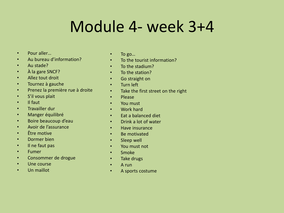#### Module 4- week 3+4

- Pour aller…
- Au bureau d'information?
- Au stade?
- À la gare SNCF?
- Allez tout droit
- Tournez à gauche
- Prenez la première rue à droite
- S'il vous plait
- Il faut
- Travailler dur
- Manger équilibré
- Boire beaucoup d'eau
- Avoir de l'assurance
- Être motive
- Dormer bien
- Il ne faut pas
- Fumer
- Consommer de drogue
- Une course
- Un maillot
- To go...
- To the tourist information?
- To the stadium?
- To the station?
- Go straight on
- Turn left
- Take the first street on the right
- Please
- You must
- Work hard
- Eat a balanced diet
- Drink a lot of water
- Have insurance
- Be motivated
- Sleep well
- You must not
- Smoke
- Take drugs
- A run
- A sports costume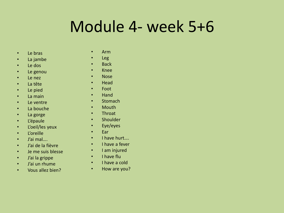### Module 4- week 5+6

- Le bras
- La jambe
- Le dos
- Le genou
- Le nez
- La tête
- Le pied
- La main
- Le ventre
- La bouche
- La gorge
- L'épaule
- L'oeil/les yeux
- L'oreille
- J'ai mal….
- J'ai de la fièvre
- Je me suis blesse
- J'ai la grippe
- J'ai un rhume
- Vous allez bien?
- Arm
- Leg
- Back
- Knee
- Nose
- Head
- Foot
- Hand
- Stomach
- Mouth
- Throat
- Shoulder
- Eye/eyes
- Ear
- I have hurt….
- I have a fever
- I am injured
- I have flu
- I have a cold
- How are you?